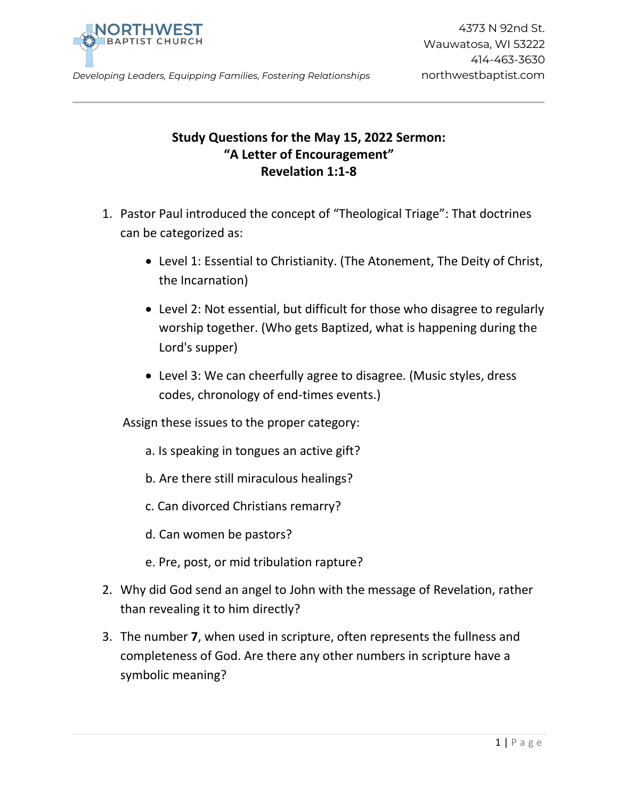

*Developing Leaders, Equipping Families, Fostering Relationships* northwestbaptist.com

## **Study Questions for the May 15, 2022 Sermon: "A Letter of Encouragement" Revelation 1:1-8**

- 1. Pastor Paul introduced the concept of "Theological Triage": That doctrines can be categorized as:
	- Level 1: Essential to Christianity. (The Atonement, The Deity of Christ, the Incarnation)
	- Level 2: Not essential, but difficult for those who disagree to regularly worship together. (Who gets Baptized, what is happening during the Lord's supper)
	- Level 3: We can cheerfully agree to disagree. (Music styles, dress codes, chronology of end-times events.)

Assign these issues to the proper category:

- a. Is speaking in tongues an active gift?
- b. Are there still miraculous healings?
- c. Can divorced Christians remarry?
- d. Can women be pastors?
- e. Pre, post, or mid tribulation rapture?
- 2. Why did God send an angel to John with the message of Revelation, rather than revealing it to him directly?
- 3. The number **7**, when used in scripture, often represents the fullness and completeness of God. Are there any other numbers in scripture have a symbolic meaning?